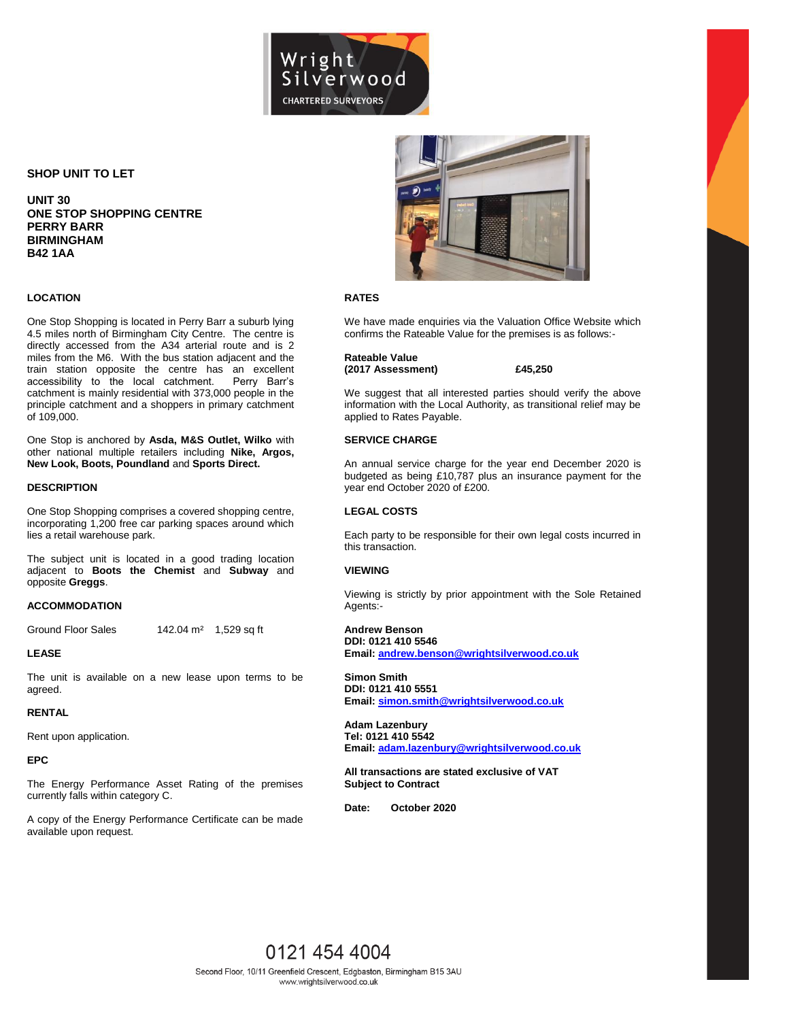

## **SHOP UNIT TO LET**

**UNIT 30 ONE STOP SHOPPING CENTRE PERRY BARR BIRMINGHAM B42 1AA**

## **LOCATION**

One Stop Shopping is located in Perry Barr a suburb lying 4.5 miles north of Birmingham City Centre. The centre is directly accessed from the A34 arterial route and is 2 miles from the M6. With the bus station adjacent and the train station opposite the centre has an excellent accessibility to the local catchment. Perry Barr's catchment is mainly residential with 373,000 people in the principle catchment and a shoppers in primary catchment of 109,000.

One Stop is anchored by **Asda, M&S Outlet, Wilko** with other national multiple retailers including **Nike, Argos, New Look, Boots, Poundland** and **Sports Direct.**

## **DESCRIPTION**

One Stop Shopping comprises a covered shopping centre, incorporating 1,200 free car parking spaces around which lies a retail warehouse park.

The subject unit is located in a good trading location adjacent to **Boots the Chemist** and **Subway** and opposite **Greggs**.

## **ACCOMMODATION**

Ground Floor Sales 142.04 m<sup>2</sup> 1,529 sq ft

### **LEASE**

The unit is available on a new lease upon terms to be agreed.

## **RENTAL**

Rent upon application.

## **EPC**

The Energy Performance Asset Rating of the premises currently falls within category C.

A copy of the Energy Performance Certificate can be made available upon request.



## **RATES**

We have made enquiries via the Valuation Office Website which confirms the Rateable Value for the premises is as follows:-

#### **Rateable Value (2017 Assessment) £45,250**

We suggest that all interested parties should verify the above information with the Local Authority, as transitional relief may be applied to Rates Payable.

## **SERVICE CHARGE**

An annual service charge for the year end December 2020 is budgeted as being £10,787 plus an insurance payment for the year end October 2020 of £200.

## **LEGAL COSTS**

Each party to be responsible for their own legal costs incurred in this transaction.

### **VIEWING**

Viewing is strictly by prior appointment with the Sole Retained Agents:-

## **Andrew Benson DDI: 0121 410 5546**

**Email[: andrew.benson@wrightsilverwood.co.uk](mailto:andrew.benson@wrightsilverwood.co.uk)** 

**Simon Smith DDI: 0121 410 5551 Email[: simon.smith@wrightsilverwood.co.uk](mailto:simon.smith@wrightsilverwood.co.uk)** 

**Adam Lazenbury Tel: 0121 410 5542 Email[: adam.lazenbury@wrightsilverwood.co.uk](mailto:adam.lazenbury@wrightsilverwood.co.uk)**

**All transactions are stated exclusive of VAT Subject to Contract**

**Date: October 2020**

# 0121 454 4004 Second Floor, 10/11 Greenfield Crescent, Edgbaston, Birmingham B15 3AU www.wrightsilverwood.co.uk